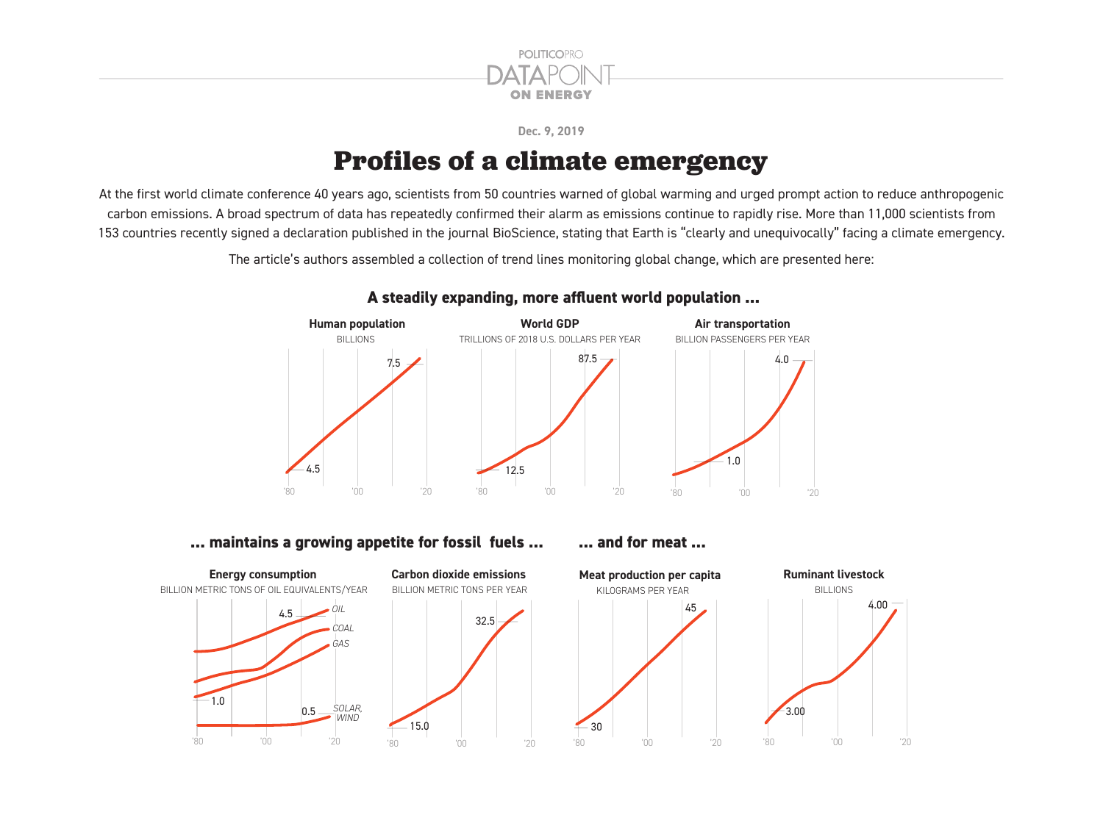

#### **Dec. 9, 2019**

# **Profiles of a climate emergency**

At the first world climate conference 40 years ago, scientists from 50 countries warned of global warming and urged prompt action to reduce anthropogenic carbon emissions. A broad spectrum of data has repeatedly confirmed their alarm as emissions continue to rapidly rise. More than 11,000 scientists from 153 countries recently signed a declaration published in the journal BioScience, stating that Earth is "clearly and unequivocally" facing a climate emergency.

The article's authors assembled a collection of trend lines monitoring global change, which are presented here:



## **A steadily expanding, more affluent world population ...**

### **... maintains a growing appetite for fossil fuels ... [100] ... and for meat ...**

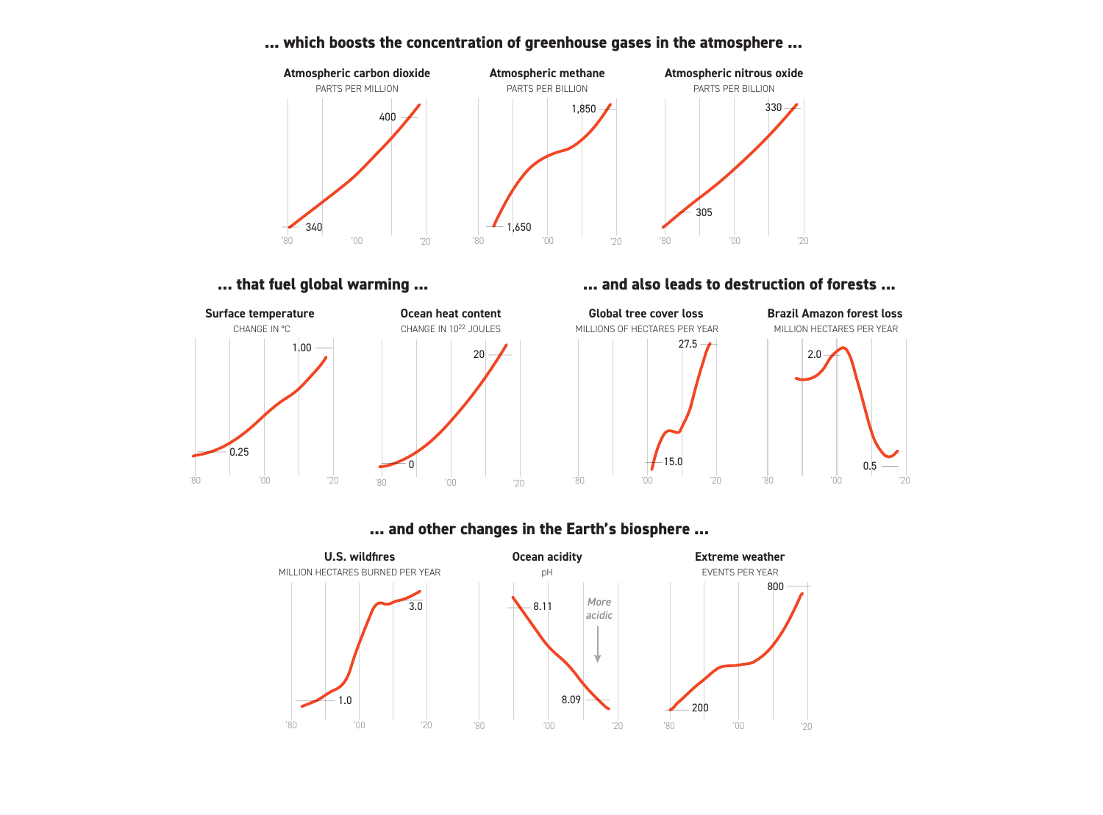#### 340 400 **Atmospheric carbon dioxide** PARTS PER MILLION '80 '00 '20 1,650 **Atmospheric methane** PARTS PER BILLION 1,850 '80 '00 '20 305 **Atmospheric nitrous oxide** PARTS PER BILLION 330 '80 '00 '20

#### **... which boosts the concentration of greenhouse gases in the atmosphere ...**



### **...** that fuel global warming ... **1998 10. In that fuel global warming ... 10. In the set of the set of the set of the set of the set of the set of the set of the set of the set of the set of the set of the set of th**



## **... and other changes in the Earth's biosphere ...**